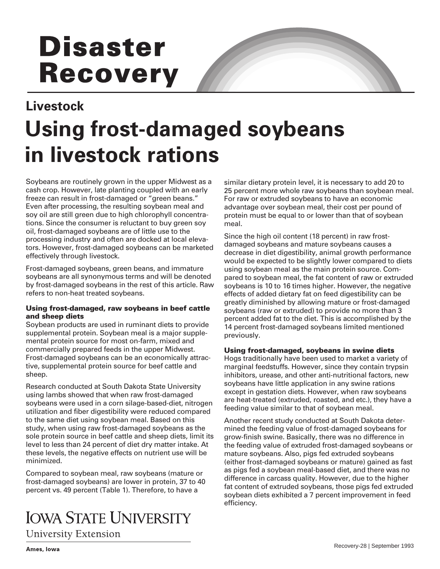# **Disaster Recovery**

# **Livestock Using frost-damaged soybeans in livestock rations**

Soybeans are routinely grown in the upper Midwest as a cash crop. However, late planting coupled with an early freeze can result in frost-damaged or "green beans." Even after processing, the resulting soybean meal and soy oil are still green due to high chlorophyll concentrations. Since the consumer is reluctant to buy green soy oil, frost-damaged soybeans are of little use to the processing industry and often are docked at local elevators. However, frost-damaged soybeans can be marketed effectively through livestock.

Frost-damaged soybeans, green beans, and immature soybeans are all synonymous terms and will be denoted by frost-damaged soybeans in the rest of this article. Raw refers to non-heat treated soybeans.

### **Using frost-damaged, raw soybeans in beef cattle and sheep diets**

Soybean products are used in ruminant diets to provide supplemental protein. Soybean meal is a major supplemental protein source for most on-farm, mixed and commercially prepared feeds in the upper Midwest. Frost-damaged soybeans can be an economically attractive, supplemental protein source for beef cattle and sheep.

Research conducted at South Dakota State University using lambs showed that when raw frost-damaged soybeans were used in a corn silage-based-diet, nitrogen utilization and fiber digestibility were reduced compared to the same diet using soybean meal. Based on this study, when using raw frost-damaged soybeans as the sole protein source in beef cattle and sheep diets, limit its level to less than 24 percent of diet dry matter intake. At these levels, the negative effects on nutrient use will be minimized.

Compared to soybean meal, raw soybeans (mature or frost-damaged soybeans) are lower in protein, 37 to 40 percent vs. 49 percent (Table 1). Therefore, to have a

# **IOWA STATE UNIVERSITY**

**University Extension** 

similar dietary protein level, it is necessary to add 20 to 25 percent more whole raw soybeans than soybean meal. For raw or extruded soybeans to have an economic advantage over soybean meal, their cost per pound of protein must be equal to or lower than that of soybean meal.

Since the high oil content (18 percent) in raw frostdamaged soybeans and mature soybeans causes a decrease in diet digestibility, animal growth performance would be expected to be slightly lower compared to diets using soybean meal as the main protein source. Compared to soybean meal, the fat content of raw or extruded soybeans is 10 to 16 times higher. However, the negative effects of added dietary fat on feed digestibility can be greatly diminished by allowing mature or frost-damaged soybeans (raw or extruded) to provide no more than 3 percent added fat to the diet. This is accomplished by the 14 percent frost-damaged soybeans limited mentioned previously.

## **Using frost-damaged, soybeans in swine diets**

Hogs traditionally have been used to market a variety of marginal feedstuffs. However, since they contain trypsin inhibitors, urease, and other anti-nutritional factors, new soybeans have little application in any swine rations except in gestation diets. However, when raw soybeans are heat-treated (extruded, roasted, and etc.), they have a feeding value similar to that of soybean meal.

Another recent study conducted at South Dakota determined the feeding value of frost-damaged soybeans for grow-finish swine. Basically, there was no difference in the feeding value of extruded frost-damaged soybeans or mature soybeans. Also, pigs fed extruded soybeans (either frost-damaged soybeans or mature) gained as fast as pigs fed a soybean meal-based diet, and there was no difference in carcass quality. However, due to the higher fat content of extruded soybeans, those pigs fed extruded soybean diets exhibited a 7 percent improvement in feed efficiency.